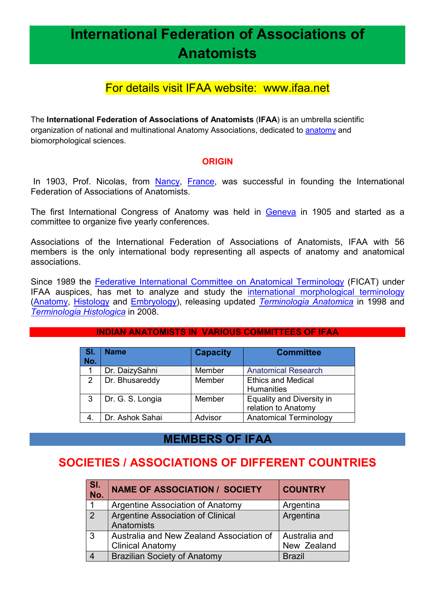# **International Federation of Associations of Anatomists**

## For details visit IFAA website: www.ifaa.net

The **International Federation of Associations of Anatomists** (**IFAA**) is an umbrella scientific organization of national and multinational Anatomy Associations, dedicated to anatomy and biomorphological sciences.

### **ORIGIN**

In 1903, Prof. Nicolas, from Nancy, France, was successful in founding the International Federation of Associations of Anatomists.

The first International Congress of Anatomy was held in Geneva in 1905 and started as a committee to organize five yearly conferences.

Associations of the International Federation of Associations of Anatomists, IFAA with 56 members is the only international body representing all aspects of anatomy and anatomical associations.

Since 1989 the Federative International Committee on Anatomical Terminology (FICAT) under IFAA auspices, has met to analyze and study the international morphological terminology (Anatomy, Histology and Embryology), releasing updated *Terminologia Anatomica* in 1998 and *Terminologia Histologica* in 2008.

#### **INDIAN ANATOMISTS IN VARIOUS COMMITTEES OF IFAA**

| ∣ SI.<br>No.   | <b>Name</b>      | <b>Capacity</b> | <b>Committee</b>                                 |
|----------------|------------------|-----------------|--------------------------------------------------|
|                | Dr. DaizySahni   | Member          | <b>Anatomical Research</b>                       |
| $\overline{2}$ | Dr. Bhusareddy   | Member          | <b>Ethics and Medical</b><br><b>Humanities</b>   |
| 3              | Dr. G. S. Longia | Member          | Equality and Diversity in<br>relation to Anatomy |
|                | Dr. Ashok Sahai  | Advisor         | <b>Anatomical Terminology</b>                    |

### **MEMBERS OF IFAA**

## **SOCIETIES / ASSOCIATIONS OF DIFFERENT COUNTRIES**

| SI.<br>No.     | NAME OF ASSOCIATION / SOCIETY            | <b>COUNTRY</b> |
|----------------|------------------------------------------|----------------|
|                | Argentine Association of Anatomy         | Argentina      |
| $\overline{2}$ | <b>Argentine Association of Clinical</b> | Argentina      |
|                | Anatomists                               |                |
| 3              | Australia and New Zealand Association of | Australia and  |
|                | <b>Clinical Anatomy</b>                  | New Zealand    |
|                | <b>Brazilian Society of Anatomy</b>      | <b>Brazil</b>  |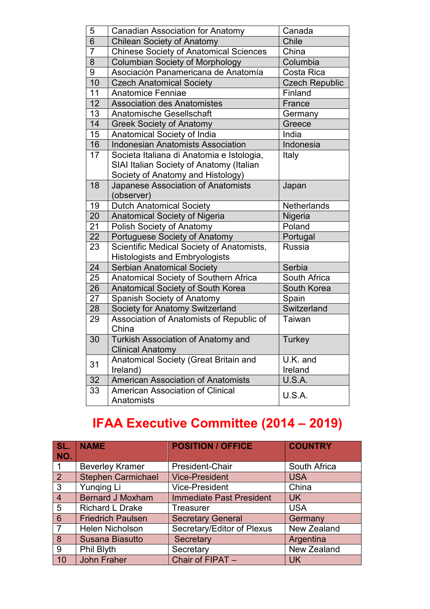| 5<br><b>Canadian Association for Anatomy</b><br>Canada<br>6<br><b>Chile</b><br><b>Chilean Society of Anatomy</b><br>$\overline{7}$<br><b>Chinese Society of Anatomical Sciences</b><br>China<br>$\overline{8}$<br><b>Columbian Society of Morphology</b><br>Columbia<br>9<br>Asociación Panamericana de Anatomía<br>Costa Rica<br>$\overline{10}$<br><b>Czech Republic</b><br><b>Czech Anatomical Society</b><br>11<br><b>Anatomice Fenniae</b><br>Finland<br>12<br><b>Association des Anatomistes</b><br>France<br>13<br><b>Anatomische Gesellschaft</b><br>Germany<br>$\overline{14}$<br><b>Greek Society of Anatomy</b><br>Greece<br>15<br>Anatomical Society of India<br>India<br>16<br><b>Indonesia</b><br><b>Indonesian Anatomists Association</b><br>17<br>Societa Italiana di Anatomia e Istologia,<br>Italy<br>SIAI Italian Society of Anatomy (Italian<br>Society of Anatomy and Histology)<br>18<br>Japanese Association of Anatomists<br>Japan<br>(observer)<br>19<br>Netherlands<br><b>Dutch Anatomical Society</b><br>20<br>Anatomical Society of Nigeria<br>Nigeria<br>21<br>Poland<br><b>Polish Society of Anatomy</b><br>$\overline{22}$<br>Portuguese Society of Anatomy<br>Portugal<br>Scientific Medical Society of Anatomists,<br><b>Russia</b><br>23<br><b>Histologists and Embryologists</b><br>24<br><b>Serbian Anatomical Society</b><br>Serbia<br>25<br>Anatomical Society of Southern Africa<br>South Africa<br>26<br>Anatomical Society of South Korea<br>South Korea<br>27<br>Spanish Society of Anatomy<br>Spain<br>28<br>Switzerland<br>Society for Anatomy Switzerland<br>Association of Anatomists of Republic of<br>29<br>Taiwan<br>China<br>Turkish Association of Anatomy and<br>30<br>Turkey<br><b>Clinical Anatomy</b><br>Anatomical Society (Great Britain and<br>U.K. and<br>31<br>Ireland<br>Ireland)<br>American Association of Anatomists<br>32<br>U.S.A.<br>33<br><b>American Association of Clinical</b><br>U.S.A.<br>Anatomists |  |  |
|-------------------------------------------------------------------------------------------------------------------------------------------------------------------------------------------------------------------------------------------------------------------------------------------------------------------------------------------------------------------------------------------------------------------------------------------------------------------------------------------------------------------------------------------------------------------------------------------------------------------------------------------------------------------------------------------------------------------------------------------------------------------------------------------------------------------------------------------------------------------------------------------------------------------------------------------------------------------------------------------------------------------------------------------------------------------------------------------------------------------------------------------------------------------------------------------------------------------------------------------------------------------------------------------------------------------------------------------------------------------------------------------------------------------------------------------------------------------------------------------------------------------------------------------------------------------------------------------------------------------------------------------------------------------------------------------------------------------------------------------------------------------------------------------------------------------------------------------------------------------------------------------------------------------------------------------------------------------------------|--|--|
|                                                                                                                                                                                                                                                                                                                                                                                                                                                                                                                                                                                                                                                                                                                                                                                                                                                                                                                                                                                                                                                                                                                                                                                                                                                                                                                                                                                                                                                                                                                                                                                                                                                                                                                                                                                                                                                                                                                                                                               |  |  |
|                                                                                                                                                                                                                                                                                                                                                                                                                                                                                                                                                                                                                                                                                                                                                                                                                                                                                                                                                                                                                                                                                                                                                                                                                                                                                                                                                                                                                                                                                                                                                                                                                                                                                                                                                                                                                                                                                                                                                                               |  |  |
|                                                                                                                                                                                                                                                                                                                                                                                                                                                                                                                                                                                                                                                                                                                                                                                                                                                                                                                                                                                                                                                                                                                                                                                                                                                                                                                                                                                                                                                                                                                                                                                                                                                                                                                                                                                                                                                                                                                                                                               |  |  |
|                                                                                                                                                                                                                                                                                                                                                                                                                                                                                                                                                                                                                                                                                                                                                                                                                                                                                                                                                                                                                                                                                                                                                                                                                                                                                                                                                                                                                                                                                                                                                                                                                                                                                                                                                                                                                                                                                                                                                                               |  |  |
|                                                                                                                                                                                                                                                                                                                                                                                                                                                                                                                                                                                                                                                                                                                                                                                                                                                                                                                                                                                                                                                                                                                                                                                                                                                                                                                                                                                                                                                                                                                                                                                                                                                                                                                                                                                                                                                                                                                                                                               |  |  |
|                                                                                                                                                                                                                                                                                                                                                                                                                                                                                                                                                                                                                                                                                                                                                                                                                                                                                                                                                                                                                                                                                                                                                                                                                                                                                                                                                                                                                                                                                                                                                                                                                                                                                                                                                                                                                                                                                                                                                                               |  |  |
|                                                                                                                                                                                                                                                                                                                                                                                                                                                                                                                                                                                                                                                                                                                                                                                                                                                                                                                                                                                                                                                                                                                                                                                                                                                                                                                                                                                                                                                                                                                                                                                                                                                                                                                                                                                                                                                                                                                                                                               |  |  |
|                                                                                                                                                                                                                                                                                                                                                                                                                                                                                                                                                                                                                                                                                                                                                                                                                                                                                                                                                                                                                                                                                                                                                                                                                                                                                                                                                                                                                                                                                                                                                                                                                                                                                                                                                                                                                                                                                                                                                                               |  |  |
|                                                                                                                                                                                                                                                                                                                                                                                                                                                                                                                                                                                                                                                                                                                                                                                                                                                                                                                                                                                                                                                                                                                                                                                                                                                                                                                                                                                                                                                                                                                                                                                                                                                                                                                                                                                                                                                                                                                                                                               |  |  |
|                                                                                                                                                                                                                                                                                                                                                                                                                                                                                                                                                                                                                                                                                                                                                                                                                                                                                                                                                                                                                                                                                                                                                                                                                                                                                                                                                                                                                                                                                                                                                                                                                                                                                                                                                                                                                                                                                                                                                                               |  |  |
|                                                                                                                                                                                                                                                                                                                                                                                                                                                                                                                                                                                                                                                                                                                                                                                                                                                                                                                                                                                                                                                                                                                                                                                                                                                                                                                                                                                                                                                                                                                                                                                                                                                                                                                                                                                                                                                                                                                                                                               |  |  |
|                                                                                                                                                                                                                                                                                                                                                                                                                                                                                                                                                                                                                                                                                                                                                                                                                                                                                                                                                                                                                                                                                                                                                                                                                                                                                                                                                                                                                                                                                                                                                                                                                                                                                                                                                                                                                                                                                                                                                                               |  |  |
|                                                                                                                                                                                                                                                                                                                                                                                                                                                                                                                                                                                                                                                                                                                                                                                                                                                                                                                                                                                                                                                                                                                                                                                                                                                                                                                                                                                                                                                                                                                                                                                                                                                                                                                                                                                                                                                                                                                                                                               |  |  |
|                                                                                                                                                                                                                                                                                                                                                                                                                                                                                                                                                                                                                                                                                                                                                                                                                                                                                                                                                                                                                                                                                                                                                                                                                                                                                                                                                                                                                                                                                                                                                                                                                                                                                                                                                                                                                                                                                                                                                                               |  |  |
|                                                                                                                                                                                                                                                                                                                                                                                                                                                                                                                                                                                                                                                                                                                                                                                                                                                                                                                                                                                                                                                                                                                                                                                                                                                                                                                                                                                                                                                                                                                                                                                                                                                                                                                                                                                                                                                                                                                                                                               |  |  |
|                                                                                                                                                                                                                                                                                                                                                                                                                                                                                                                                                                                                                                                                                                                                                                                                                                                                                                                                                                                                                                                                                                                                                                                                                                                                                                                                                                                                                                                                                                                                                                                                                                                                                                                                                                                                                                                                                                                                                                               |  |  |
|                                                                                                                                                                                                                                                                                                                                                                                                                                                                                                                                                                                                                                                                                                                                                                                                                                                                                                                                                                                                                                                                                                                                                                                                                                                                                                                                                                                                                                                                                                                                                                                                                                                                                                                                                                                                                                                                                                                                                                               |  |  |
|                                                                                                                                                                                                                                                                                                                                                                                                                                                                                                                                                                                                                                                                                                                                                                                                                                                                                                                                                                                                                                                                                                                                                                                                                                                                                                                                                                                                                                                                                                                                                                                                                                                                                                                                                                                                                                                                                                                                                                               |  |  |
|                                                                                                                                                                                                                                                                                                                                                                                                                                                                                                                                                                                                                                                                                                                                                                                                                                                                                                                                                                                                                                                                                                                                                                                                                                                                                                                                                                                                                                                                                                                                                                                                                                                                                                                                                                                                                                                                                                                                                                               |  |  |
|                                                                                                                                                                                                                                                                                                                                                                                                                                                                                                                                                                                                                                                                                                                                                                                                                                                                                                                                                                                                                                                                                                                                                                                                                                                                                                                                                                                                                                                                                                                                                                                                                                                                                                                                                                                                                                                                                                                                                                               |  |  |
|                                                                                                                                                                                                                                                                                                                                                                                                                                                                                                                                                                                                                                                                                                                                                                                                                                                                                                                                                                                                                                                                                                                                                                                                                                                                                                                                                                                                                                                                                                                                                                                                                                                                                                                                                                                                                                                                                                                                                                               |  |  |
|                                                                                                                                                                                                                                                                                                                                                                                                                                                                                                                                                                                                                                                                                                                                                                                                                                                                                                                                                                                                                                                                                                                                                                                                                                                                                                                                                                                                                                                                                                                                                                                                                                                                                                                                                                                                                                                                                                                                                                               |  |  |
|                                                                                                                                                                                                                                                                                                                                                                                                                                                                                                                                                                                                                                                                                                                                                                                                                                                                                                                                                                                                                                                                                                                                                                                                                                                                                                                                                                                                                                                                                                                                                                                                                                                                                                                                                                                                                                                                                                                                                                               |  |  |
|                                                                                                                                                                                                                                                                                                                                                                                                                                                                                                                                                                                                                                                                                                                                                                                                                                                                                                                                                                                                                                                                                                                                                                                                                                                                                                                                                                                                                                                                                                                                                                                                                                                                                                                                                                                                                                                                                                                                                                               |  |  |
|                                                                                                                                                                                                                                                                                                                                                                                                                                                                                                                                                                                                                                                                                                                                                                                                                                                                                                                                                                                                                                                                                                                                                                                                                                                                                                                                                                                                                                                                                                                                                                                                                                                                                                                                                                                                                                                                                                                                                                               |  |  |
|                                                                                                                                                                                                                                                                                                                                                                                                                                                                                                                                                                                                                                                                                                                                                                                                                                                                                                                                                                                                                                                                                                                                                                                                                                                                                                                                                                                                                                                                                                                                                                                                                                                                                                                                                                                                                                                                                                                                                                               |  |  |
|                                                                                                                                                                                                                                                                                                                                                                                                                                                                                                                                                                                                                                                                                                                                                                                                                                                                                                                                                                                                                                                                                                                                                                                                                                                                                                                                                                                                                                                                                                                                                                                                                                                                                                                                                                                                                                                                                                                                                                               |  |  |
|                                                                                                                                                                                                                                                                                                                                                                                                                                                                                                                                                                                                                                                                                                                                                                                                                                                                                                                                                                                                                                                                                                                                                                                                                                                                                                                                                                                                                                                                                                                                                                                                                                                                                                                                                                                                                                                                                                                                                                               |  |  |
|                                                                                                                                                                                                                                                                                                                                                                                                                                                                                                                                                                                                                                                                                                                                                                                                                                                                                                                                                                                                                                                                                                                                                                                                                                                                                                                                                                                                                                                                                                                                                                                                                                                                                                                                                                                                                                                                                                                                                                               |  |  |

# **IFAA Executive Committee (2014 – 2019)**

| SL.            | <b>NAME</b>               | <b>POSITION / OFFICE</b>        | <b>COUNTRY</b> |
|----------------|---------------------------|---------------------------------|----------------|
| NO.            |                           |                                 |                |
|                | <b>Beverley Kramer</b>    | President-Chair                 | South Africa   |
| $\overline{2}$ | <b>Stephen Carmichael</b> | <b>Vice-President</b>           | <b>USA</b>     |
| 3              | Yunging Li                | <b>Vice-President</b>           | China          |
| 4              | <b>Bernard J Moxham</b>   | <b>Immediate Past President</b> | <b>UK</b>      |
| 5              | <b>Richard L Drake</b>    | Treasurer                       | <b>USA</b>     |
| 6              | <b>Friedrich Paulsen</b>  | <b>Secretary General</b>        | Germany        |
| $\overline{7}$ | Helen Nicholson           | Secretary/Editor of Plexus      | New Zealand    |
| 8              | <b>Susana Biasutto</b>    | Secretary                       | Argentina      |
| 9              | Phil Blyth                | Secretary                       | New Zealand    |
| 10             | <b>John Fraher</b>        | Chair of FIPAT -                | <b>UK</b>      |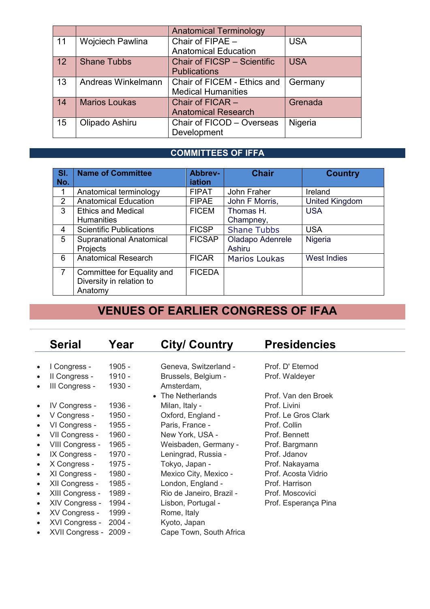|    |                      | <b>Anatomical Terminology</b> |            |
|----|----------------------|-------------------------------|------------|
| 11 | Wojciech Pawlina     | Chair of FIPAE -              | <b>USA</b> |
|    |                      | <b>Anatomical Education</b>   |            |
| 12 | <b>Shane Tubbs</b>   | Chair of FICSP - Scientific   | <b>USA</b> |
|    |                      | <b>Publications</b>           |            |
| 13 | Andreas Winkelmann   | Chair of FICEM - Ethics and   | Germany    |
|    |                      | <b>Medical Humanities</b>     |            |
| 14 | <b>Marios Loukas</b> | Chair of FICAR -              | Grenada    |
|    |                      | <b>Anatomical Research</b>    |            |
| 15 | Olipado Ashiru       | Chair of FICOD - Overseas     | Nigeria    |
|    |                      | Development                   |            |

### **COMMITTEES OF IFFA**

| $S$ l.         | <b>Name of Committee</b>        | Abbrev-       | <b>Chair</b>         | <b>Country</b>        |
|----------------|---------------------------------|---------------|----------------------|-----------------------|
| No.            |                                 | iation        |                      |                       |
|                | Anatomical terminology          | <b>FIPAT</b>  | John Fraher          | Ireland               |
| 2              | <b>Anatomical Education</b>     | <b>FIPAE</b>  | John F Morris,       | <b>United Kingdom</b> |
| 3              | <b>Ethics and Medical</b>       | <b>FICEM</b>  | Thomas H.            | <b>USA</b>            |
|                | <b>Humanities</b>               |               | Champney,            |                       |
| 4              | <b>Scientific Publications</b>  | <b>FICSP</b>  | <b>Shane Tubbs</b>   | <b>USA</b>            |
| 5              | <b>Supranational Anatomical</b> | <b>FICSAP</b> | Oladapo Adenrele     | Nigeria               |
|                | Projects                        |               | <b>Ashiru</b>        |                       |
| 6              | <b>Anatomical Research</b>      | <b>FICAR</b>  | <b>Marios Loukas</b> | <b>West Indies</b>    |
| $\overline{7}$ | Committee for Equality and      | <b>FICEDA</b> |                      |                       |
|                | Diversity in relation to        |               |                      |                       |
|                | Anatomy                         |               |                      |                       |

## **VENUES OF EARLIER CONGRESS OF IFAA**

|           | <b>Serial</b>          | Year     | <b>City/ Country</b>     | <b>Presidencies</b>  |
|-----------|------------------------|----------|--------------------------|----------------------|
|           |                        |          |                          |                      |
| $\bullet$ | I Congress -           | 1905 -   | Geneva, Switzerland -    | Prof. D' Eternod     |
| $\bullet$ | II Congress -          | 1910 -   | Brussels, Belgium -      | Prof. Waldeyer       |
| $\bullet$ | III Congress -         | 1930 -   | Amsterdam,               |                      |
|           |                        |          | • The Netherlands        | Prof. Van den Broek  |
| $\bullet$ | <b>IV Congress -</b>   | 1936 -   | Milan, Italy -           | Prof. Livini         |
| $\bullet$ | V Congress -           | 1950 -   | Oxford, England -        | Prof. Le Gros Clark  |
| $\bullet$ | VI Congress -          | 1955 -   | Paris, France -          | Prof. Collin         |
| $\bullet$ | VII Congress -         | 1960 -   | New York, USA -          | Prof. Bennett        |
| $\bullet$ | VIII Congress -        | 1965 -   | Weisbaden, Germany -     | Prof. Bargmann       |
| $\bullet$ | IX Congress -          | 1970 -   | Leningrad, Russia -      | Prof. Jdanov         |
| $\bullet$ | X Congress -           | 1975 -   | Tokyo, Japan -           | Prof. Nakayama       |
| $\bullet$ | XI Congress -          | 1980 -   | Mexico City, Mexico -    | Prof. Acosta Vidrio  |
| $\bullet$ | XII Congress -         | 1985 -   | London, England -        | Prof. Harrison       |
| $\bullet$ | XIII Congress -        | 1989 -   | Rio de Janeiro, Brazil - | Prof. Moscovici      |
| $\bullet$ | XIV Congress -         | 1994 -   | Lisbon, Portugal -       | Prof. Esperança Pina |
| $\bullet$ | XV Congress -          | 1999 -   | Rome, Italy              |                      |
| $\bullet$ | XVI Congress -         | $2004 -$ | Kyoto, Japan             |                      |
| $\bullet$ | XVII Congress - 2009 - |          | Cape Town, South Africa  |                      |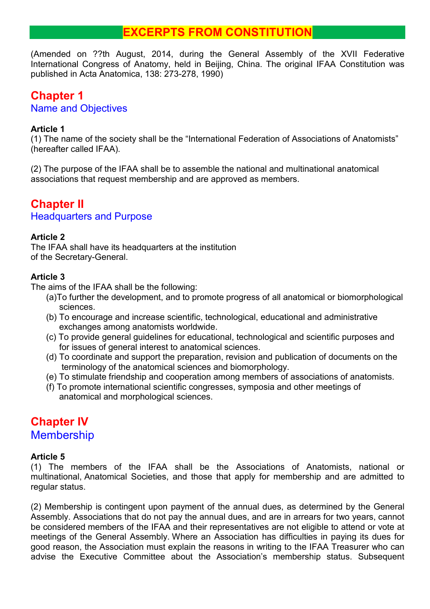## **EXCERPTS FROM CONSTITUTION**

(Amended on ??th August, 2014, during the General Assembly of the XVII Federative International Congress of Anatomy, held in Beijing, China. The original IFAA Constitution was published in Acta Anatomica, 138: 273-278, 1990)

### **Chapter 1** Name and Objectives

### **Article 1**

(1) The name of the society shall be the "International Federation of Associations of Anatomists" (hereafter called IFAA).

(2) The purpose of the IFAA shall be to assemble the national and multinational anatomical associations that request membership and are approved as members.

## **Chapter II**

### Headquarters and Purpose

### **Article 2**

The IFAA shall have its headquarters at the institution of the Secretary-General.

### **Article 3**

The aims of the IFAA shall be the following:

- (a)To further the development, and to promote progress of all anatomical or biomorphological sciences.
- (b) To encourage and increase scientific, technological, educational and administrative exchanges among anatomists worldwide.
- (c) To provide general guidelines for educational, technological and scientific purposes and for issues of general interest to anatomical sciences.
- (d) To coordinate and support the preparation, revision and publication of documents on the terminology of the anatomical sciences and biomorphology.
- (e) To stimulate friendship and cooperation among members of associations of anatomists.
- (f) To promote international scientific congresses, symposia and other meetings of anatomical and morphological sciences.

## **Chapter IV Membership**

### **Article 5**

(1) The members of the IFAA shall be the Associations of Anatomists, national or multinational, Anatomical Societies, and those that apply for membership and are admitted to regular status.

(2) Membership is contingent upon payment of the annual dues, as determined by the General Assembly. Associations that do not pay the annual dues, and are in arrears for two years, cannot be considered members of the IFAA and their representatives are not eligible to attend or vote at meetings of the General Assembly. Where an Association has difficulties in paying its dues for good reason, the Association must explain the reasons in writing to the IFAA Treasurer who can advise the Executive Committee about the Association's membership status. Subsequent